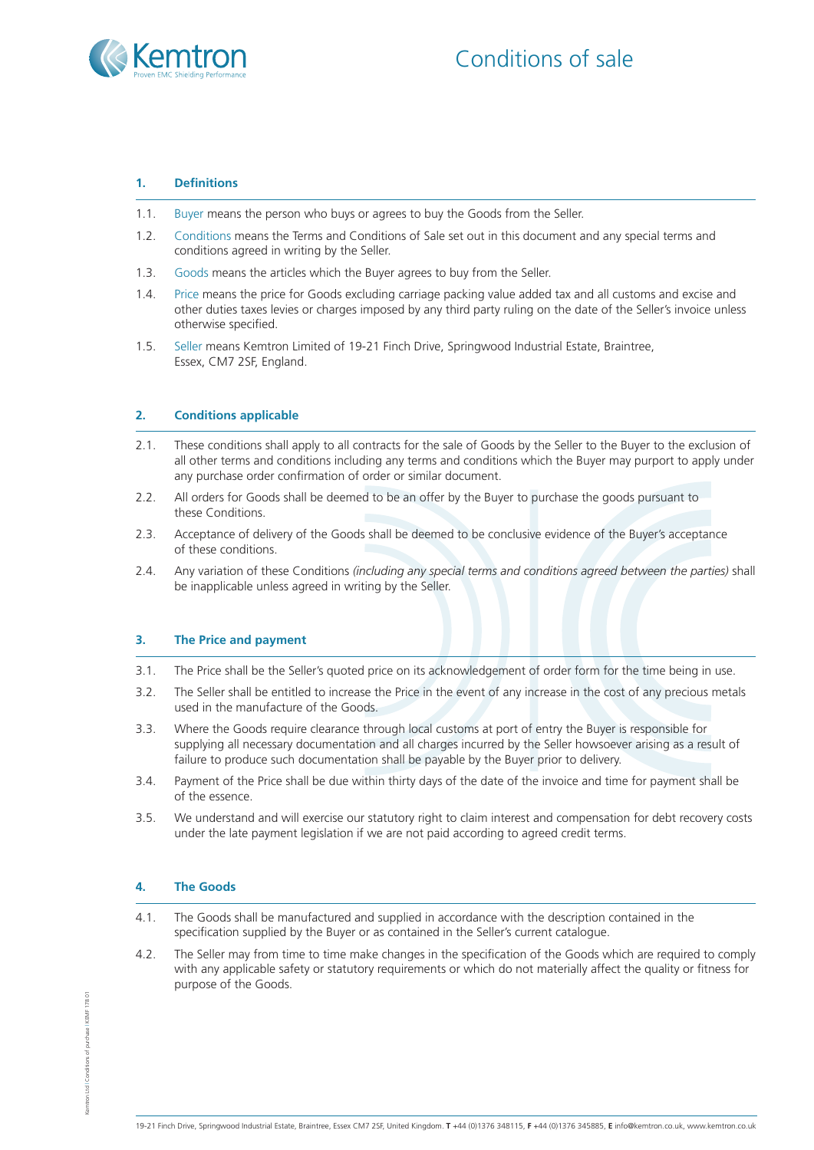



#### **1. Definitions**

- 1.1. Buyer means the person who buys or agrees to buy the Goods from the Seller.
- 1.2. Conditions means the Terms and Conditions of Sale set out in this document and any special terms and conditions agreed in writing by the Seller.
- 1.3. Goods means the articles which the Buyer agrees to buy from the Seller.
- 1.4. Price means the price for Goods excluding carriage packing value added tax and all customs and excise and other duties taxes levies or charges imposed by any third party ruling on the date of the Seller's invoice unless otherwise specified.
- 1.5. Seller means Kemtron Limited of 19-21 Finch Drive, Springwood Industrial Estate, Braintree, Essex, CM7 2SF, England.

## **2. Conditions applicable**

- 2.1. These conditions shall apply to all contracts for the sale of Goods by the Seller to the Buyer to the exclusion of all other terms and conditions including any terms and conditions which the Buyer may purport to apply under any purchase order confirmation of order or similar document.
- 2.2. All orders for Goods shall be deemed to be an offer by the Buyer to purchase the goods pursuant to these Conditions.
- 2.3. Acceptance of delivery of the Goods shall be deemed to be conclusive evidence of the Buyer's acceptance of these conditions.
- 2.4. Any variation of these Conditions *(including any special terms and conditions agreed between the parties)* shall be inapplicable unless agreed in writing by the Seller.

#### **3. The Price and payment**

- 3.1. The Price shall be the Seller's quoted price on its acknowledgement of order form for the time being in use.
- 3.2. The Seller shall be entitled to increase the Price in the event of any increase in the cost of any precious metals used in the manufacture of the Goods.
- 3.3. Where the Goods require clearance through local customs at port of entry the Buyer is responsible for supplying all necessary documentation and all charges incurred by the Seller howsoever arising as a result of failure to produce such documentation shall be payable by the Buyer prior to delivery.
- 3.4. Payment of the Price shall be due within thirty days of the date of the invoice and time for payment shall be of the essence.
- 3.5. We understand and will exercise our statutory right to claim interest and compensation for debt recovery costs under the late payment legislation if we are not paid according to agreed credit terms.

#### **4. The Goods**

- 4.1. The Goods shall be manufactured and supplied in accordance with the description contained in the specification supplied by the Buyer or as contained in the Seller's current catalogue.
- 4.2. The Seller may from time to time make changes in the specification of the Goods which are required to comply with any applicable safety or statutory requirements or which do not materially affect the quality or fitness for purpose of the Goods.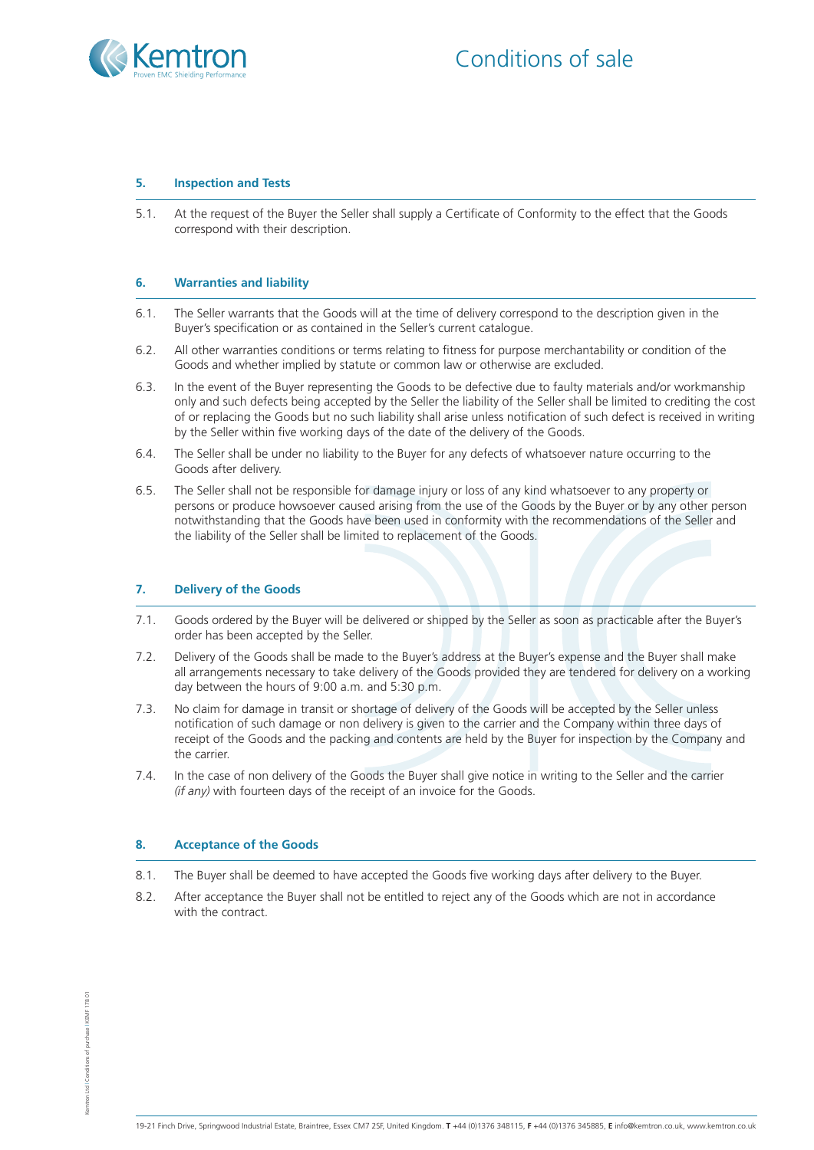

## **5. Inspection and Tests**

5.1. At the request of the Buyer the Seller shall supply a Certificate of Conformity to the effect that the Goods correspond with their description.

#### **6. Warranties and liability**

- 6.1. The Seller warrants that the Goods will at the time of delivery correspond to the description given in the Buyer's specification or as contained in the Seller's current catalogue.
- 6.2. All other warranties conditions or terms relating to fitness for purpose merchantability or condition of the Goods and whether implied by statute or common law or otherwise are excluded.
- 6.3. In the event of the Buyer representing the Goods to be defective due to faulty materials and/or workmanship only and such defects being accepted by the Seller the liability of the Seller shall be limited to crediting the cost of or replacing the Goods but no such liability shall arise unless notification of such defect is received in writing by the Seller within five working days of the date of the delivery of the Goods.
- 6.4. The Seller shall be under no liability to the Buyer for any defects of whatsoever nature occurring to the Goods after delivery.
- 6.5. The Seller shall not be responsible for damage injury or loss of any kind whatsoever to any property or persons or produce howsoever caused arising from the use of the Goods by the Buyer or by any other person notwithstanding that the Goods have been used in conformity with the recommendations of the Seller and the liability of the Seller shall be limited to replacement of the Goods.

#### **7. Delivery of the Goods**

- 7.1. Goods ordered by the Buyer will be delivered or shipped by the Seller as soon as practicable after the Buyer's order has been accepted by the Seller.
- 7.2. Delivery of the Goods shall be made to the Buyer's address at the Buyer's expense and the Buyer shall make all arrangements necessary to take delivery of the Goods provided they are tendered for delivery on a working day between the hours of 9:00 a.m. and 5:30 p.m.
- 7.3. No claim for damage in transit or shortage of delivery of the Goods will be accepted by the Seller unless notification of such damage or non delivery is given to the carrier and the Company within three days of receipt of the Goods and the packing and contents are held by the Buyer for inspection by the Company and the carrier.
- 7.4. In the case of non delivery of the Goods the Buyer shall give notice in writing to the Seller and the carrier *(if any)* with fourteen days of the receipt of an invoice for the Goods.

#### **8. Acceptance of the Goods**

- 8.1. The Buyer shall be deemed to have accepted the Goods five working days after delivery to the Buyer.
- 8.2. After acceptance the Buyer shall not be entitled to reject any of the Goods which are not in accordance with the contract.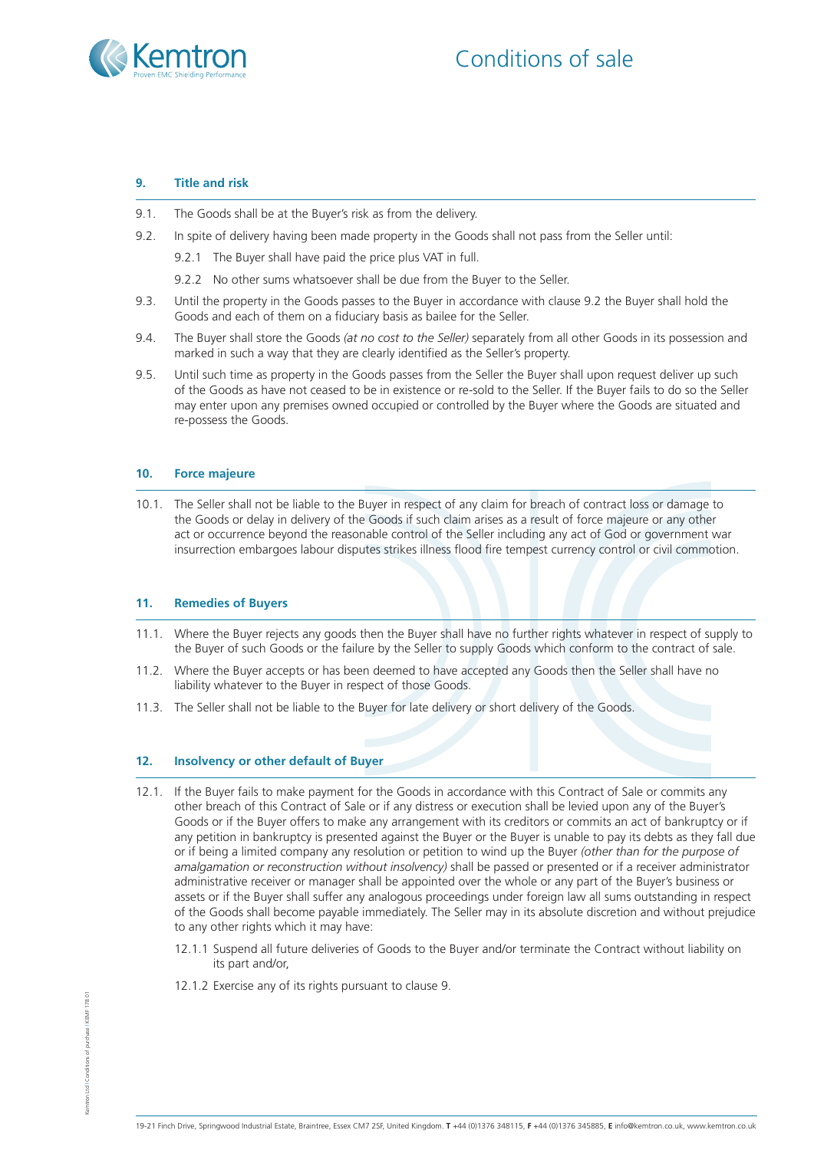



## **9. Title and risk**

- 9.1. The Goods shall be at the Buyer's risk as from the delivery.
- 9.2. In spite of delivery having been made property in the Goods shall not pass from the Seller until:
	- 9.2.1 The Buyer shall have paid the price plus VAT in full.
	- 9.2.2 No other sums whatsoever shall be due from the Buyer to the Seller.
- 9.3. Until the property in the Goods passes to the Buyer in accordance with clause 9.2 the Buyer shall hold the Goods and each of them on a fiduciary basis as bailee for the Seller.
- 9.4. The Buyer shall store the Goods *(at no cost to the Seller)* separately from all other Goods in its possession and marked in such a way that they are clearly identified as the Seller's property.
- 9.5. Until such time as property in the Goods passes from the Seller the Buyer shall upon request deliver up such of the Goods as have not ceased to be in existence or re-sold to the Seller. If the Buyer fails to do so the Seller may enter upon any premises owned occupied or controlled by the Buyer where the Goods are situated and re-possess the Goods.

## **10. Force majeure**

10.1. The Seller shall not be liable to the Buyer in respect of any claim for breach of contract loss or damage to the Goods or delay in delivery of the Goods if such claim arises as a result of force majeure or any other act or occurrence beyond the reasonable control of the Seller including any act of God or government war insurrection embargoes labour disputes strikes illness flood fire tempest currency control or civil commotion.

# **11. Remedies of Buyers**

- 11.1. Where the Buyer rejects any goods then the Buyer shall have no further rights whatever in respect of supply to the Buyer of such Goods or the failure by the Seller to supply Goods which conform to the contract of sale.
- 11.2. Where the Buyer accepts or has been deemed to have accepted any Goods then the Seller shall have no liability whatever to the Buyer in respect of those Goods.
- 11.3. The Seller shall not be liable to the Buyer for late delivery or short delivery of the Goods.

#### **12. Insolvency or other default of Buyer**

- 12.1. If the Buyer fails to make payment for the Goods in accordance with this Contract of Sale or commits any other breach of this Contract of Sale or if any distress or execution shall be levied upon any of the Buyer's Goods or if the Buyer offers to make any arrangement with its creditors or commits an act of bankruptcy or if any petition in bankruptcy is presented against the Buyer or the Buyer is unable to pay its debts as they fall due or if being a limited company any resolution or petition to wind up the Buyer *(other than for the purpose of amalgamation or reconstruction without insolvency)* shall be passed or presented or if a receiver administrator administrative receiver or manager shall be appointed over the whole or any part of the Buyer's business or assets or if the Buyer shall suffer any analogous proceedings under foreign law all sums outstanding in respect of the Goods shall become payable immediately. The Seller may in its absolute discretion and without prejudice to any other rights which it may have:
	- 12.1.1 Suspend all future deliveries of Goods to the Buyer and/or terminate the Contract without liability on its part and/or,
	- 12.1.2 Exercise any of its rights pursuant to clause 9.